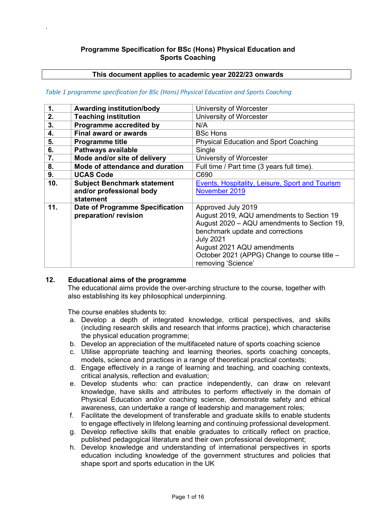# **Programme Specification for BSc (Hons) Physical Education and Sports Coaching**

# **This document applies to academic year 2022/23 onwards**

### *Table 1 programme specification for BSc (Hons) Physical Education and Sports Coaching*

| $\mathbf 1$ . | <b>Awarding institution/body</b>   | University of Worcester                                |
|---------------|------------------------------------|--------------------------------------------------------|
| 2.            | <b>Teaching institution</b>        | University of Worcester                                |
| 3.            | Programme accredited by            | N/A                                                    |
| 4.            | <b>Final award or awards</b>       | <b>BSc Hons</b>                                        |
| 5.            | <b>Programme title</b>             | <b>Physical Education and Sport Coaching</b>           |
| 6.            | Pathways available                 | Single                                                 |
| 7.            | Mode and/or site of delivery       | University of Worcester                                |
| 8.            | Mode of attendance and duration    | Full time / Part time (3 years full time).             |
| 9.            | <b>UCAS Code</b>                   | C690                                                   |
| 10.           | <b>Subject Benchmark statement</b> | <b>Events, Hospitality, Leisure, Sport and Tourism</b> |
|               | and/or professional body           | November 2019                                          |
|               | statement                          |                                                        |
| 11.           | Date of Programme Specification    | Approved July 2019                                     |
|               | preparation/revision               | August 2019, AQU amendments to Section 19              |
|               |                                    | August 2020 - AQU amendments to Section 19,            |
|               |                                    | benchmark update and corrections                       |
|               |                                    | <b>July 2021</b>                                       |
|               |                                    | August 2021 AQU amendments                             |
|               |                                    | October 2021 (APPG) Change to course title -           |
|               |                                    | removing 'Science'                                     |

# **12. Educational aims of the programme**

.

The educational aims provide the over-arching structure to the course, together with also establishing its key philosophical underpinning.

The course enables students to:

- a. Develop a depth of integrated knowledge, critical perspectives, and skills (including research skills and research that informs practice), which characterise the physical education programme;
- b. Develop an appreciation of the multifaceted nature of sports coaching science
- c. Utilise appropriate teaching and learning theories, sports coaching concepts, models, science and practices in a range of theoretical practical contexts;
- d. Engage effectively in a range of learning and teaching, and coaching contexts, critical analysis, reflection and evaluation;
- e. Develop students who: can practice independently, can draw on relevant knowledge, have skills and attributes to perform effectively in the domain of Physical Education and/or coaching science, demonstrate safety and ethical awareness, can undertake a range of leadership and management roles;
- f. Facilitate the development of transferable and graduate skills to enable students to engage effectively in lifelong learning and continuing professional development.
- g. Develop reflective skills that enable graduates to critically reflect on practice, published pedagogical literature and their own professional development;
- h. Develop knowledge and understanding of international perspectives in sports education including knowledge of the government structures and policies that shape sport and sports education in the UK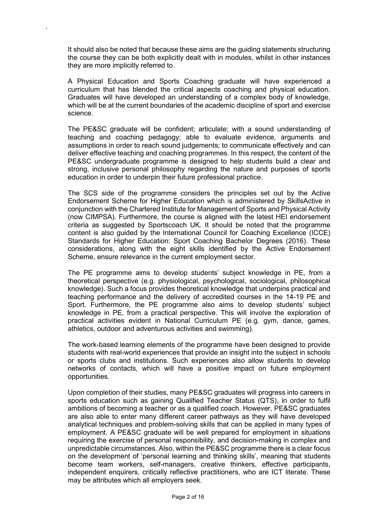It should also be noted that because these aims are the guiding statements structuring the course they can be both explicitly dealt with in modules, whilst in other instances they are more implicitly referred to.

.

A Physical Education and Sports Coaching graduate will have experienced a curriculum that has blended the critical aspects coaching and physical education. Graduates will have developed an understanding of a complex body of knowledge, which will be at the current boundaries of the academic discipline of sport and exercise science.

The PE&SC graduate will be confident; articulate; with a sound understanding of teaching and coaching pedagogy; able to evaluate evidence, arguments and assumptions in order to reach sound judgements; to communicate effectively and can deliver effective teaching and coaching programmes. In this respect, the content of the PE&SC undergraduate programme is designed to help students build a clear and strong, inclusive personal philosophy regarding the nature and purposes of sports education in order to underpin their future professional practice.

The SCS side of the programme considers the principles set out by the Active Endorsement Scheme for Higher Education which is administered by SkillsActive in conjunction with the Chartered Institute for Management of Sports and Physical Activity (now CIMPSA). Furthermore, the course is aligned with the latest HEI endorsement criteria as suggested by Sportscoach UK. It should be noted that the programme content is also guided by the International Council for Coaching Excellence (ICCE) Standards for Higher Education: Sport Coaching Bachelor Degrees (2016). These considerations, along with the eight skills identified by the Active Endorsement Scheme, ensure relevance in the current employment sector.

The PE programme aims to develop students' subject knowledge in PE, from a theoretical perspective (e.g. physiological, psychological, sociological, philosophical knowledge). Such a focus provides theoretical knowledge that underpins practical and teaching performance and the delivery of accredited courses in the 14-19 PE and Sport. Furthermore, the PE programme also aims to develop students' subject knowledge in PE, from a practical perspective. This will involve the exploration of practical activities evident in National Curriculum PE (e.g. gym, dance, games, athletics, outdoor and adventurous activities and swimming).

The work-based learning elements of the programme have been designed to provide students with real-world experiences that provide an insight into the subject in schools or sports clubs and institutions. Such experiences also allow students to develop networks of contacts, which will have a positive impact on future employment opportunities.

Upon completion of their studies, many PE&SC graduates will progress into careers in sports education such as gaining Qualified Teacher Status (QTS), in order to fulfil ambitions of becoming a teacher or as a qualified coach. However, PE&SC graduates are also able to enter many different career pathways as they will have developed analytical techniques and problem-solving skills that can be applied in many types of employment. A PE&SC graduate will be well prepared for employment in situations requiring the exercise of personal responsibility, and decision-making in complex and unpredictable circumstances. Also, within the PE&SC programme there is a clear focus on the development of 'personal learning and thinking skills', meaning that students become team workers, self-managers, creative thinkers, effective participants, independent enquirers, critically reflective practitioners, who are ICT literate. These may be attributes which all employers seek.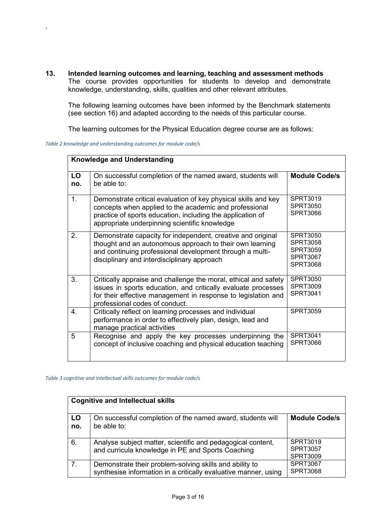**13. Intended learning outcomes and learning, teaching and assessment methods**  The course provides opportunities for students to develop and demonstrate knowledge, understanding, skills, qualities and other relevant attributes.

The following learning outcomes have been informed by the Benchmark statements (see section 16) and adapted according to the needs of this particular course.

The learning outcomes for the Physical Education degree course are as follows:

|  | Table 2 knowledge and understanding outcomes for module code/s |  |  |
|--|----------------------------------------------------------------|--|--|
|  |                                                                |  |  |

.

|           | <b>Knowledge and Understanding</b>                                                                                                                                                                                                      |                                                                                             |  |  |  |  |  |
|-----------|-----------------------------------------------------------------------------------------------------------------------------------------------------------------------------------------------------------------------------------------|---------------------------------------------------------------------------------------------|--|--|--|--|--|
| LO<br>no. | On successful completion of the named award, students will<br>be able to:                                                                                                                                                               | <b>Module Code/s</b>                                                                        |  |  |  |  |  |
| 1.        | Demonstrate critical evaluation of key physical skills and key<br>concepts when applied to the academic and professional<br>practice of sports education, including the application of<br>appropriate underpinning scientific knowledge | <b>SPRT3019</b><br>SPRT3050<br>SPRT3066                                                     |  |  |  |  |  |
| 2.        | Demonstrate capacity for independent, creative and original<br>thought and an autonomous approach to their own learning<br>and continuing professional development through a multi-<br>disciplinary and interdisciplinary approach      | <b>SPRT3050</b><br><b>SPRT3058</b><br><b>SPRT3059</b><br><b>SPRT3067</b><br><b>SPRT3068</b> |  |  |  |  |  |
| 3.        | Critically appraise and challenge the moral, ethical and safety<br>issues in sports education, and critically evaluate processes<br>for their effective management in response to legislation and<br>professional codes of conduct.     | <b>SPRT3050</b><br><b>SPRT3009</b><br><b>SPRT3041</b>                                       |  |  |  |  |  |
| 4.        | Critically reflect on learning processes and individual<br>performance in order to effectively plan, design, lead and<br>manage practical activities                                                                                    | <b>SPRT3059</b>                                                                             |  |  |  |  |  |
| 5         | Recognise and apply the key processes underpinning the<br>concept of inclusive coaching and physical education teaching                                                                                                                 | SPRT3041<br>SPRT3066                                                                        |  |  |  |  |  |

*Table 3 cognitive and intellectual skills outcomes for module code/s*

| <b>Cognitive and Intellectual skills</b> |                                                                                                                            |                                                       |  |  |  |  |
|------------------------------------------|----------------------------------------------------------------------------------------------------------------------------|-------------------------------------------------------|--|--|--|--|
| LO<br>no.                                | On successful completion of the named award, students will<br>be able to:                                                  | <b>Module Code/s</b>                                  |  |  |  |  |
| 6.                                       | Analyse subject matter, scientific and pedagogical content,<br>and curricula knowledge in PE and Sports Coaching           | <b>SPRT3019</b><br><b>SPRT3057</b><br><b>SPRT3009</b> |  |  |  |  |
| 7.                                       | Demonstrate their problem-solving skills and ability to<br>synthesise information in a critically evaluative manner, using | <b>SPRT3067</b><br><b>SPRT3068</b>                    |  |  |  |  |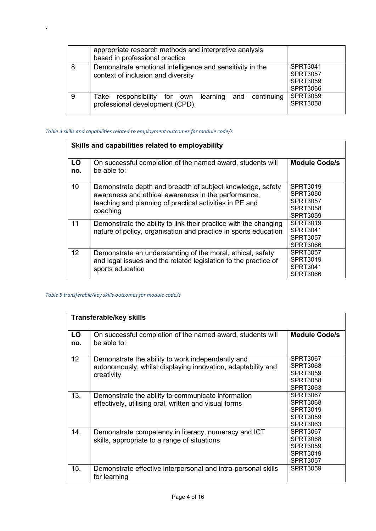|    | appropriate research methods and interpretive analysis<br>based in professional practice        |                                                                   |
|----|-------------------------------------------------------------------------------------------------|-------------------------------------------------------------------|
| 8. | Demonstrate emotional intelligence and sensitivity in the<br>context of inclusion and diversity | SPRT3041<br><b>SPRT3057</b><br><b>SPRT3059</b><br><b>SPRT3066</b> |
|    | Take responsibility for own learning and continuing<br>professional development (CPD).          | <b>SPRT3059</b><br><b>SPRT3058</b>                                |

### *Table 4 skills and capabilities related to employment outcomes for module code/s*

.

|           | Skills and capabilities related to employability                                                                                                                                         |                                                                        |  |  |  |  |  |
|-----------|------------------------------------------------------------------------------------------------------------------------------------------------------------------------------------------|------------------------------------------------------------------------|--|--|--|--|--|
| LO<br>no. | On successful completion of the named award, students will<br>be able to:                                                                                                                | <b>Module Code/s</b>                                                   |  |  |  |  |  |
| 10        | Demonstrate depth and breadth of subject knowledge, safety<br>awareness and ethical awareness in the performance,<br>teaching and planning of practical activities in PE and<br>coaching | SPRT3019<br>SPRT3050<br><b>SPRT3057</b><br><b>SPRT3058</b><br>SPRT3059 |  |  |  |  |  |
| 11        | Demonstrate the ability to link their practice with the changing<br>nature of policy, organisation and practice in sports education                                                      | SPRT3019<br>SPRT3041<br>SPRT3057<br>SPRT3066                           |  |  |  |  |  |
| 12        | Demonstrate an understanding of the moral, ethical, safety<br>and legal issues and the related legislation to the practice of<br>sports education                                        | SPRT3057<br>SPRT3019<br>SPRT3041<br>SPRT3066                           |  |  |  |  |  |

# *Table 5 transferable/key skills outcomes for module code/s*

|                 | <b>Transferable/key skills</b>                                                                                                  |                                                                                      |  |  |  |  |  |
|-----------------|---------------------------------------------------------------------------------------------------------------------------------|--------------------------------------------------------------------------------------|--|--|--|--|--|
| LO<br>no.       | On successful completion of the named award, students will<br>be able to:                                                       | <b>Module Code/s</b>                                                                 |  |  |  |  |  |
| 12 <sup>2</sup> | Demonstrate the ability to work independently and<br>autonomously, whilst displaying innovation, adaptability and<br>creativity | SPRT3067<br>SPRT3068<br>SPRT3059<br><b>SPRT3058</b><br><b>SPRT3063</b>               |  |  |  |  |  |
| 13.             | Demonstrate the ability to communicate information<br>effectively, utilising oral, written and visual forms                     | <b>SPRT3067</b><br><b>SPRT3068</b><br>SPRT3019<br><b>SPRT3059</b><br><b>SPRT3063</b> |  |  |  |  |  |
| 14.             | Demonstrate competency in literacy, numeracy and ICT<br>skills, appropriate to a range of situations                            | <b>SPRT3067</b><br><b>SPRT3068</b><br>SPRT3059<br>SPRT3019<br><b>SPRT3057</b>        |  |  |  |  |  |
| 15.             | Demonstrate effective interpersonal and intra-personal skills<br>for learning                                                   | SPRT3059                                                                             |  |  |  |  |  |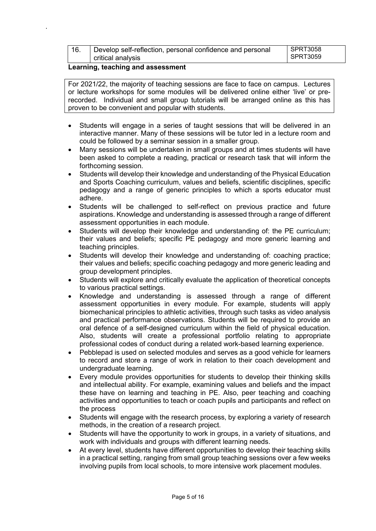| 16. | Develop self-reflection, personal confidence and personal | SPRT3058 |
|-----|-----------------------------------------------------------|----------|
|     | critical analysis                                         | SPRT3059 |

## **Learning, teaching and assessment**

.

For 2021/22, the majority of teaching sessions are face to face on campus. Lectures or lecture workshops for some modules will be delivered online either 'live' or prerecorded. Individual and small group tutorials will be arranged online as this has proven to be convenient and popular with students.

- Students will engage in a series of taught sessions that will be delivered in an interactive manner. Many of these sessions will be tutor led in a lecture room and could be followed by a seminar session in a smaller group.
- Many sessions will be undertaken in small groups and at times students will have been asked to complete a reading, practical or research task that will inform the forthcoming session.
- Students will develop their knowledge and understanding of the Physical Education and Sports Coaching curriculum, values and beliefs, scientific disciplines, specific pedagogy and a range of generic principles to which a sports educator must adhere.
- Students will be challenged to self-reflect on previous practice and future aspirations. Knowledge and understanding is assessed through a range of different assessment opportunities in each module.
- Students will develop their knowledge and understanding of: the PE curriculum; their values and beliefs; specific PE pedagogy and more generic learning and teaching principles.
- Students will develop their knowledge and understanding of: coaching practice; their values and beliefs; specific coaching pedagogy and more generic leading and group development principles.
- Students will explore and critically evaluate the application of theoretical concepts to various practical settings.
- Knowledge and understanding is assessed through a range of different assessment opportunities in every module. For example, students will apply biomechanical principles to athletic activities, through such tasks as video analysis and practical performance observations. Students will be required to provide an oral defence of a self-designed curriculum within the field of physical education. Also, students will create a professional portfolio relating to appropriate professional codes of conduct during a related work-based learning experience.
- Pebblepad is used on selected modules and serves as a good vehicle for learners to record and store a range of work in relation to their coach development and undergraduate learning.
- Every module provides opportunities for students to develop their thinking skills and intellectual ability. For example, examining values and beliefs and the impact these have on learning and teaching in PE. Also, peer teaching and coaching activities and opportunities to teach or coach pupils and participants and reflect on the process
- Students will engage with the research process, by exploring a variety of research methods, in the creation of a research project.
- Students will have the opportunity to work in groups, in a variety of situations, and work with individuals and groups with different learning needs.
- At every level, students have different opportunities to develop their teaching skills in a practical setting, ranging from small group teaching sessions over a few weeks involving pupils from local schools, to more intensive work placement modules.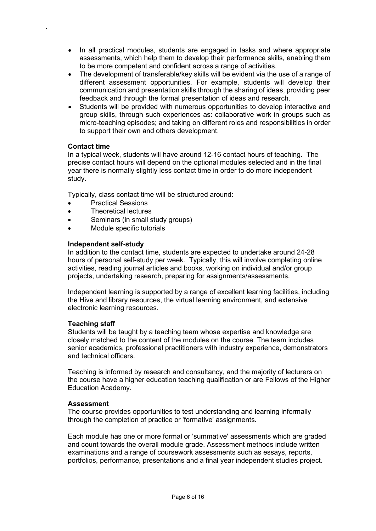- In all practical modules, students are engaged in tasks and where appropriate assessments, which help them to develop their performance skills, enabling them to be more competent and confident across a range of activities.
- The development of transferable/key skills will be evident via the use of a range of different assessment opportunities. For example, students will develop their communication and presentation skills through the sharing of ideas, providing peer feedback and through the formal presentation of ideas and research.
- Students will be provided with numerous opportunities to develop interactive and group skills, through such experiences as: collaborative work in groups such as micro-teaching episodes; and taking on different roles and responsibilities in order to support their own and others development.

# **Contact time**

.

In a typical week, students will have around 12-16 contact hours of teaching. The precise contact hours will depend on the optional modules selected and in the final year there is normally slightly less contact time in order to do more independent study.

Typically, class contact time will be structured around:

- Practical Sessions
- Theoretical lectures
- Seminars (in small study groups)
- Module specific tutorials

### **Independent self-study**

In addition to the contact time, students are expected to undertake around 24-28 hours of personal self-study per week. Typically, this will involve completing online activities, reading journal articles and books, working on individual and/or group projects, undertaking research, preparing for assignments/assessments.

Independent learning is supported by a range of excellent learning facilities, including the Hive and library resources, the virtual learning environment, and extensive electronic learning resources.

# **Teaching staff**

Students will be taught by a teaching team whose expertise and knowledge are closely matched to the content of the modules on the course. The team includes senior academics, professional practitioners with industry experience, demonstrators and technical officers.

Teaching is informed by research and consultancy, and the majority of lecturers on the course have a higher education teaching qualification or are Fellows of the Higher Education Academy.

# **Assessment**

The course provides opportunities to test understanding and learning informally through the completion of practice or 'formative' assignments.

Each module has one or more formal or 'summative' assessments which are graded and count towards the overall module grade. Assessment methods include written examinations and a range of coursework assessments such as essays, reports, portfolios, performance, presentations and a final year independent studies project.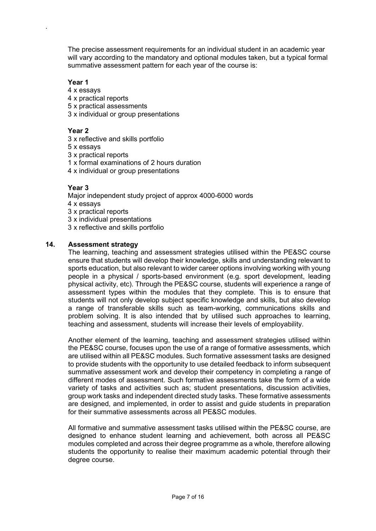The precise assessment requirements for an individual student in an academic year will vary according to the mandatory and optional modules taken, but a typical formal summative assessment pattern for each year of the course is:

# **Year 1**

.

- 4 x essays
- 4 x practical reports
- 5 x practical assessments
- 3 x individual or group presentations

# **Year 2**

- 3 x reflective and skills portfolio
- 5 x essays
- 3 x practical reports
- 1 x formal examinations of 2 hours duration
- 4 x individual or group presentations

# **Year 3**

- Major independent study project of approx 4000-6000 words
- 4 x essays
- 3 x practical reports
- 3 x individual presentations
- 3 x reflective and skills portfolio

# **14. Assessment strategy**

The learning, teaching and assessment strategies utilised within the PE&SC course ensure that students will develop their knowledge, skills and understanding relevant to sports education, but also relevant to wider career options involving working with young people in a physical / sports-based environment (e.g. sport development, leading physical activity, etc). Through the PE&SC course, students will experience a range of assessment types within the modules that they complete. This is to ensure that students will not only develop subject specific knowledge and skills, but also develop a range of transferable skills such as team-working, communications skills and problem solving. It is also intended that by utilised such approaches to learning, teaching and assessment, students will increase their levels of employability.

Another element of the learning, teaching and assessment strategies utilised within the PE&SC course, focuses upon the use of a range of formative assessments, which are utilised within all PE&SC modules. Such formative assessment tasks are designed to provide students with the opportunity to use detailed feedback to inform subsequent summative assessment work and develop their competency in completing a range of different modes of assessment. Such formative assessments take the form of a wide variety of tasks and activities such as; student presentations, discussion activities, group work tasks and independent directed study tasks. These formative assessments are designed, and implemented, in order to assist and guide students in preparation for their summative assessments across all PE&SC modules.

All formative and summative assessment tasks utilised within the PE&SC course, are designed to enhance student learning and achievement, both across all PE&SC modules completed and across their degree programme as a whole, therefore allowing students the opportunity to realise their maximum academic potential through their degree course.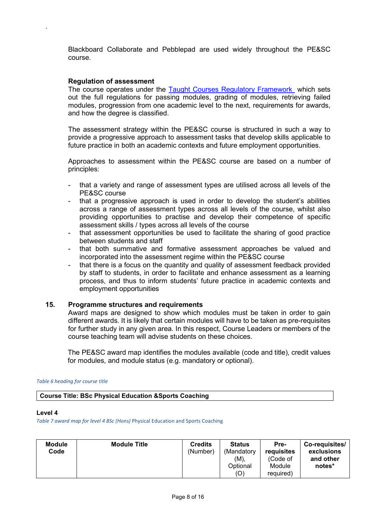Blackboard Collaborate and Pebblepad are used widely throughout the PE&SC course.

### **Regulation of assessment**

.

The course operates under the [Taught Courses Regulatory Framework](http://www.worcester.ac.uk/registryservices/documents/TaughtCoursesRegulatoryFramework.pdf) which sets out the full regulations for passing modules, grading of modules, retrieving failed modules, progression from one academic level to the next, requirements for awards, and how the degree is classified.

The assessment strategy within the PE&SC course is structured in such a way to provide a progressive approach to assessment tasks that develop skills applicable to future practice in both an academic contexts and future employment opportunities.

Approaches to assessment within the PE&SC course are based on a number of principles:

- that a variety and range of assessment types are utilised across all levels of the PE&SC course
- that a progressive approach is used in order to develop the student's abilities across a range of assessment types across all levels of the course, whilst also providing opportunities to practise and develop their competence of specific assessment skills / types across all levels of the course
- that assessment opportunities be used to facilitate the sharing of good practice between students and staff
- that both summative and formative assessment approaches be valued and incorporated into the assessment regime within the PE&SC course
- that there is a focus on the quantity and quality of assessment feedback provided by staff to students, in order to facilitate and enhance assessment as a learning process, and thus to inform students' future practice in academic contexts and employment opportunities

### **15. Programme structures and requirements**

Award maps are designed to show which modules must be taken in order to gain different awards. It is likely that certain modules will have to be taken as pre-requisites for further study in any given area. In this respect, Course Leaders or members of the course teaching team will advise students on these choices.

The PE&SC award map identifies the modules available (code and title), credit values for modules, and module status (e.g. mandatory or optional).

#### *Table 6 heading for course title*

**Course Title: BSc Physical Education &Sports Coaching** 

#### **Level 4**

*Table 7 award map for level 4 BSc (Hons)* Physical Education and Sports Coaching

| <b>Module</b><br><b>Module Title</b><br>Code | <b>Credits</b><br>(Number) | <b>Status</b><br>(Mandatory)<br>$(M)$ ,<br>Optional<br>(O) | Pre-<br>requisites<br>(Code of<br>Module<br>required) | Co-requisites/<br>exclusions<br>and other<br>notes* |
|----------------------------------------------|----------------------------|------------------------------------------------------------|-------------------------------------------------------|-----------------------------------------------------|
|----------------------------------------------|----------------------------|------------------------------------------------------------|-------------------------------------------------------|-----------------------------------------------------|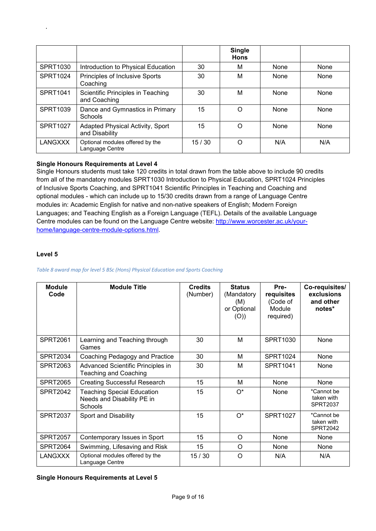|                 |                                                    |       | <b>Single</b><br><b>Hons</b> |      |      |
|-----------------|----------------------------------------------------|-------|------------------------------|------|------|
| <b>SPRT1030</b> | Introduction to Physical Education                 | 30    | М                            | None | None |
| <b>SPRT1024</b> | Principles of Inclusive Sports<br>Coaching         | 30    | M                            | None | None |
| SPRT1041        | Scientific Principles in Teaching<br>and Coaching  | 30    | M                            | None | None |
| SPRT1039        | Dance and Gymnastics in Primary<br><b>Schools</b>  | 15    | O                            | None | None |
| <b>SPRT1027</b> | Adapted Physical Activity, Sport<br>and Disability | 15    | Ω                            | None | None |
| <b>LANGXXX</b>  | Optional modules offered by the<br>Language Centre | 15/30 | O                            | N/A  | N/A  |

# **Single Honours Requirements at Level 4**

Single Honours students must take 120 credits in total drawn from the table above to include 90 credits from all of the mandatory modules SPRT1030 Introduction to Physical Education, SPRT1024 Principles of Inclusive Sports Coaching, and SPRT1041 Scientific Principles in Teaching and Coaching and optional modules - which can include up to 15/30 credits drawn from a range of Language Centre modules in: Academic English for native and non-native speakers of English; Modern Foreign Languages; and Teaching English as a Foreign Language (TEFL). Details of the available Language Centre modules can be found on the Language Centre website: [http://www.worcester.ac.uk/your](http://www.worcester.ac.uk/your-home/language-centre-module-options.html)[home/language-centre-module-options.html.](http://www.worcester.ac.uk/your-home/language-centre-module-options.html)

## **Level 5**

.

#### *Table 8 award map for level 5 BSc (Hons) Physical Education and Sports Coaching*

| <b>Module</b><br>Code | <b>Module Title</b>                                                        | <b>Credits</b><br>(Number) | <b>Status</b><br>(Mandatory<br>(M)<br>or Optional<br>(O)) | Pre-<br>requisites<br>(Code of<br>Module<br>required) | Co-requisites/<br>exclusions<br>and other<br>notes* |
|-----------------------|----------------------------------------------------------------------------|----------------------------|-----------------------------------------------------------|-------------------------------------------------------|-----------------------------------------------------|
| <b>SPRT2061</b>       | Learning and Teaching through<br>Games                                     | 30                         | М                                                         | <b>SPRT1030</b>                                       | None                                                |
| <b>SPRT2034</b>       | Coaching Pedagogy and Practice                                             | 30                         | м                                                         | <b>SPRT1024</b>                                       | None                                                |
| <b>SPRT2063</b>       | Advanced Scientific Principles in<br><b>Teaching and Coaching</b>          | 30                         | М                                                         | <b>SPRT1041</b>                                       | None                                                |
| <b>SPRT2065</b>       | <b>Creating Successful Research</b>                                        | 15                         | м                                                         | None                                                  | None                                                |
| <b>SPRT2042</b>       | <b>Teaching Special Education</b><br>Needs and Disability PE in<br>Schools | 15                         | $O^*$                                                     | None                                                  | *Cannot be<br>taken with<br><b>SPRT2037</b>         |
| <b>SPRT2037</b>       | Sport and Disability                                                       | 15                         | $O^*$                                                     | <b>SPRT1027</b>                                       | *Cannot be<br>taken with<br><b>SPRT2042</b>         |
| <b>SPRT2057</b>       | Contemporary Issues in Sport                                               | 15                         | $\Omega$                                                  | None                                                  | None                                                |
| <b>SPRT2064</b>       | Swimming, Lifesaving and Risk                                              | 15                         | O                                                         | None                                                  | None                                                |
| <b>LANGXXX</b>        | Optional modules offered by the<br>Language Centre                         | 15/30                      | $\circ$                                                   | N/A                                                   | N/A                                                 |

### **Single Honours Requirements at Level 5**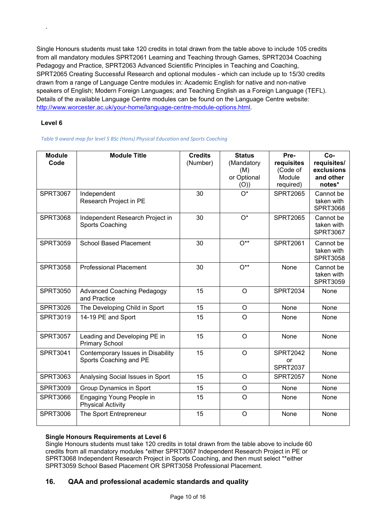Single Honours students must take 120 credits in total drawn from the table above to include 105 credits from all mandatory modules SPRT2061 Learning and Teaching through Games, SPRT2034 Coaching Pedagogy and Practice, SPRT2063 Advanced Scientific Principles in Teaching and Coaching, SPRT2065 Creating Successful Research and optional modules - which can include up to 15/30 credits drawn from a range of Language Centre modules in: Academic English for native and non-native speakers of English; Modern Foreign Languages; and Teaching English as a Foreign Language (TEFL). Details of the available Language Centre modules can be found on the Language Centre website: [http://www.worcester.ac.uk/your-home/language-centre-module-options.html.](http://www.worcester.ac.uk/your-home/language-centre-module-options.html)

# **Level 6**

.

*Table 9 award map for level 5 BSc (Hons) Physical Education and Sports Coaching* 

| <b>Module</b><br>Code | <b>Module Title</b>                                         | <b>Credits</b><br>(Number) | <b>Status</b><br>(Mandatory<br>(M)<br>or Optional<br>(O)) | Pre-<br>requisites<br>(Code of<br>Module<br>required) | Co-<br>requisites/<br>exclusions<br>and other<br>notes* |
|-----------------------|-------------------------------------------------------------|----------------------------|-----------------------------------------------------------|-------------------------------------------------------|---------------------------------------------------------|
| <b>SPRT3067</b>       | Independent<br>Research Project in PE                       | 30                         | $O^*$                                                     | <b>SPRT2065</b>                                       | Cannot be<br>taken with<br><b>SPRT3068</b>              |
| <b>SPRT3068</b>       | Independent Research Project in<br><b>Sports Coaching</b>   | 30                         | $O^*$                                                     | <b>SPRT2065</b>                                       | Cannot be<br>taken with<br><b>SPRT3067</b>              |
| <b>SPRT3059</b>       | <b>School Based Placement</b>                               | 30                         | $O^{**}$                                                  | <b>SPRT2061</b>                                       | Cannot be<br>taken with<br><b>SPRT3058</b>              |
| <b>SPRT3058</b>       | <b>Professional Placement</b>                               | 30                         | $O^{**}$                                                  | None                                                  | Cannot be<br>taken with<br><b>SPRT3059</b>              |
| <b>SPRT3050</b>       | <b>Advanced Coaching Pedagogy</b><br>and Practice           | 15                         | $\circ$                                                   | <b>SPRT2034</b>                                       | None                                                    |
| <b>SPRT3026</b>       | The Developing Child in Sport                               | 15                         | O                                                         | None                                                  | None                                                    |
| SPRT3019              | 14-19 PE and Sport                                          | 15                         | $\circ$                                                   | None                                                  | None                                                    |
| <b>SPRT3057</b>       | Leading and Developing PE in<br><b>Primary School</b>       | 15                         | O                                                         | None                                                  | None                                                    |
| SPRT3041              | Contemporary Issues in Disability<br>Sports Coaching and PE | 15                         | $\circ$                                                   | <b>SPRT2042</b><br>or<br><b>SPRT2037</b>              | None                                                    |
| <b>SPRT3063</b>       | Analysing Social Issues in Sport                            | 15                         | $\circ$                                                   | <b>SPRT2057</b>                                       | None                                                    |
| <b>SPRT3009</b>       | Group Dynamics in Sport                                     | 15                         | O                                                         | None                                                  | None                                                    |
| <b>SPRT3066</b>       | Engaging Young People in<br><b>Physical Activity</b>        | 15                         | $\Omega$                                                  | None                                                  | None                                                    |
| <b>SPRT3006</b>       | The Sport Entrepreneur                                      | 15                         | $\circ$                                                   | None                                                  | None                                                    |

# **Single Honours Requirements at Level 6**

Single Honours students must take 120 credits in total drawn from the table above to include 60 credits from all mandatory modules \*either SPRT3067 Independent Research Project in PE or SPRT3068 Independent Research Project in Sports Coaching, and then must select \*\*either SPRT3059 School Based Placement OR SPRT3058 Professional Placement.

# **16. QAA and professional academic standards and quality**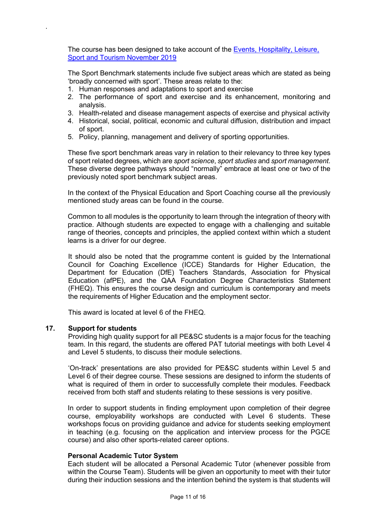The course has been designed to take account of the [Events, Hospitality, Leisure,](https://www.qaa.ac.uk/docs/qaa/subject-benchmark-statements/subject-benchmark-statement-events-leisure-sport-tourism.pdf?sfvrsn=c339c881_11)  [Sport and Tourism November 2019](https://www.qaa.ac.uk/docs/qaa/subject-benchmark-statements/subject-benchmark-statement-events-leisure-sport-tourism.pdf?sfvrsn=c339c881_11)

The Sport Benchmark statements include five subject areas which are stated as being 'broadly concerned with sport'. These areas relate to the:

- 1. Human responses and adaptations to sport and exercise
- 2. The performance of sport and exercise and its enhancement, monitoring and analysis.
- 3. Health-related and disease management aspects of exercise and physical activity
- 4. Historical, social, political, economic and cultural diffusion, distribution and impact of sport.
- 5. Policy, planning, management and delivery of sporting opportunities.

These five sport benchmark areas vary in relation to their relevancy to three key types of sport related degrees, which are *sport science*, *sport studies* and *sport management*. These diverse degree pathways should "normally" embrace at least one or two of the previously noted sport benchmark subject areas.

In the context of the Physical Education and Sport Coaching course all the previously mentioned study areas can be found in the course.

Common to all modules is the opportunity to learn through the integration of theory with practice. Although students are expected to engage with a challenging and suitable range of theories, concepts and principles, the applied context within which a student learns is a driver for our degree.

It should also be noted that the programme content is guided by the International Council for Coaching Excellence (ICCE) Standards for Higher Education, the Department for Education (DfE) Teachers Standards, Association for Physical Education (afPE), and the QAA Foundation Degree Characteristics Statement (FHEQ). This ensures the course design and curriculum is contemporary and meets the requirements of Higher Education and the employment sector.

This award is located at level 6 of the FHEQ.

### **17. Support for students**

.

Providing high quality support for all PE&SC students is a major focus for the teaching team. In this regard, the students are offered PAT tutorial meetings with both Level 4 and Level 5 students, to discuss their module selections.

'On-track' presentations are also provided for PE&SC students within Level 5 and Level 6 of their degree course. These sessions are designed to inform the students of what is required of them in order to successfully complete their modules. Feedback received from both staff and students relating to these sessions is very positive.

In order to support students in finding employment upon completion of their degree course, employability workshops are conducted with Level 6 students. These workshops focus on providing guidance and advice for students seeking employment in teaching (e.g. focusing on the application and interview process for the PGCE course) and also other sports-related career options.

### **Personal Academic Tutor System**

Each student will be allocated a Personal Academic Tutor (whenever possible from within the Course Team). Students will be given an opportunity to meet with their tutor during their induction sessions and the intention behind the system is that students will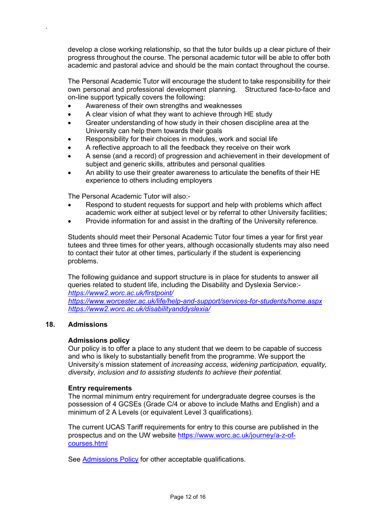develop a close working relationship, so that the tutor builds up a clear picture of their progress throughout the course. The personal academic tutor will be able to offer both academic and pastoral advice and should be the main contact throughout the course.

The Personal Academic Tutor will encourage the student to take responsibility for their own personal and professional development planning. Structured face-to-face and on-line support typically covers the following:

- Awareness of their own strengths and weaknesses
- A clear vision of what they want to achieve through HE study
- Greater understanding of how study in their chosen discipline area at the University can help them towards their goals
- Responsibility for their choices in modules, work and social life
- A reflective approach to all the feedback they receive on their work
- A sense (and a record) of progression and achievement in their development of subject and generic skills, attributes and personal qualities
- An ability to use their greater awareness to articulate the benefits of their HE experience to others including employers

The Personal Academic Tutor will also:-

- Respond to student requests for support and help with problems which affect academic work either at subject level or by referral to other University facilities;
- Provide information for and assist in the drafting of the University reference.

Students should meet their Personal Academic Tutor four times a year for first year tutees and three times for other years, although occasionally students may also need to contact their tutor at other times, particularly if the student is experiencing problems.

The following guidance and support structure is in place for students to answer all queries related to student life, including the Disability and Dyslexia Service: *<https://www2.worc.ac.uk/firstpoint/>*

*<https://www.worcester.ac.uk/life/help-and-support/services-for-students/home.aspx> <https://www2.worc.ac.uk/disabilityanddyslexia/>*

# **18. Admissions**

.

# **Admissions policy**

Our policy is to offer a place to any student that we deem to be capable of success and who is likely to substantially benefit from the programme. We support the University's mission statement of *increasing access, widening participation, equality, diversity, inclusion and to assisting students to achieve their potential.* 

### **Entry requirements**

The normal minimum entry requirement for undergraduate degree courses is the possession of 4 GCSEs (Grade C/4 or above to include Maths and English) and a minimum of 2 A Levels (or equivalent Level 3 qualifications).

The current UCAS Tariff requirements for entry to this course are published in the prospectus and on the UW website [https://www.worc.ac.uk/journey/a-z-of](https://www.worc.ac.uk/journey/a-z-of-courses.html)[courses.html](https://www.worc.ac.uk/journey/a-z-of-courses.html)

See [Admissions Policy](http://www.worcester.ac.uk/registryservices/documents/AdmissionsPolicy.pdf) for other acceptable qualifications.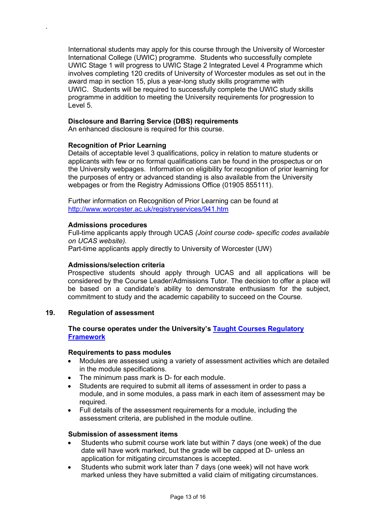International students may apply for this course through the University of Worcester International College (UWIC) programme. Students who successfully complete UWIC Stage 1 will progress to UWIC Stage 2 Integrated Level 4 Programme which involves completing 120 credits of University of Worcester modules as set out in the award map in section 15, plus a year-long study skills programme with UWIC. Students will be required to successfully complete the UWIC study skills programme in addition to meeting the University requirements for progression to Level 5.

### **Disclosure and Barring Service (DBS) requirements**

An enhanced disclosure is required for this course.

### **Recognition of Prior Learning**

.

Details of acceptable level 3 qualifications, policy in relation to mature students or applicants with few or no formal qualifications can be found in the prospectus or on the University webpages. Information on eligibility for recognition of prior learning for the purposes of entry or advanced standing is also available from the University webpages or from the Registry Admissions Office (01905 855111).

Further information on Recognition of Prior Learning can be found at <http://www.worcester.ac.uk/registryservices/941.htm>

### **Admissions procedures**

Full-time applicants apply through UCAS *(Joint course code- specific codes available on UCAS website).*

Part-time applicants apply directly to University of Worcester (UW)

### **Admissions/selection criteria**

Prospective students should apply through UCAS and all applications will be considered by the Course Leader/Admissions Tutor. The decision to offer a place will be based on a candidate's ability to demonstrate enthusiasm for the subject, commitment to study and the academic capability to succeed on the Course.

### **19. Regulation of assessment**

# **The course operates under the University's [Taught Courses Regulatory](http://www.worcester.ac.uk/registryservices/documents/TaughtCoursesRegulatoryFramework.pdf)  [Framework](http://www.worcester.ac.uk/registryservices/documents/TaughtCoursesRegulatoryFramework.pdf)**

### **Requirements to pass modules**

- Modules are assessed using a variety of assessment activities which are detailed in the module specifications.
- The minimum pass mark is D- for each module.
- Students are required to submit all items of assessment in order to pass a module, and in some modules, a pass mark in each item of assessment may be required.
- Full details of the assessment requirements for a module, including the assessment criteria, are published in the module outline.

### **Submission of assessment items**

- Students who submit course work late but within 7 days (one week) of the due date will have work marked, but the grade will be capped at D- unless an application for mitigating circumstances is accepted.
- Students who submit work later than 7 days (one week) will not have work marked unless they have submitted a valid claim of mitigating circumstances.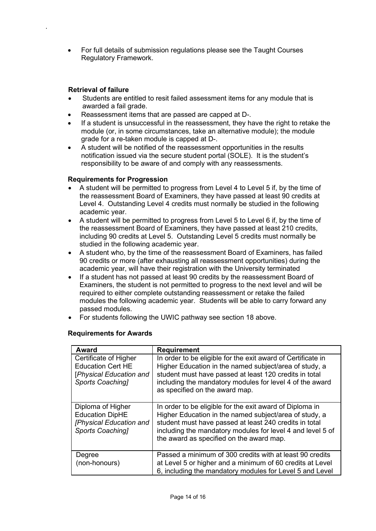• For full details of submission regulations please see the Taught Courses Regulatory Framework.

# **Retrieval of failure**

.

- Students are entitled to resit failed assessment items for any module that is awarded a fail grade.
- Reassessment items that are passed are capped at D-.
- If a student is unsuccessful in the reassessment, they have the right to retake the module (or, in some circumstances, take an alternative module); the module grade for a re-taken module is capped at D-.
- A student will be notified of the reassessment opportunities in the results notification issued via the secure student portal (SOLE). It is the student's responsibility to be aware of and comply with any reassessments.

# **Requirements for Progression**

- A student will be permitted to progress from Level 4 to Level 5 if, by the time of the reassessment Board of Examiners, they have passed at least 90 credits at Level 4. Outstanding Level 4 credits must normally be studied in the following academic year.
- A student will be permitted to progress from Level 5 to Level 6 if, by the time of the reassessment Board of Examiners, they have passed at least 210 credits, including 90 credits at Level 5. Outstanding Level 5 credits must normally be studied in the following academic year.
- A student who, by the time of the reassessment Board of Examiners, has failed 90 credits or more (after exhausting all reassessment opportunities) during the academic year, will have their registration with the University terminated
- If a student has not passed at least 90 credits by the reassessment Board of Examiners, the student is not permitted to progress to the next level and will be required to either complete outstanding reassessment or retake the failed modules the following academic year. Students will be able to carry forward any passed modules.
- For students following the UWIC pathway see section 18 above.

# **Requirements for Awards**

| <b>Award</b>                                                                                     | <b>Requirement</b>                                                                                                                                                                                                                                                                     |
|--------------------------------------------------------------------------------------------------|----------------------------------------------------------------------------------------------------------------------------------------------------------------------------------------------------------------------------------------------------------------------------------------|
| Certificate of Higher<br><b>Education Cert HE</b><br>[Physical Education and<br>Sports Coaching1 | In order to be eligible for the exit award of Certificate in<br>Higher Education in the named subject/area of study, a<br>student must have passed at least 120 credits in total<br>including the mandatory modules for level 4 of the award<br>as specified on the award map.         |
| Diploma of Higher<br><b>Education DipHE</b><br>[Physical Education and<br>Sports Coaching1       | In order to be eligible for the exit award of Diploma in<br>Higher Education in the named subject/area of study, a<br>student must have passed at least 240 credits in total<br>including the mandatory modules for level 4 and level 5 of<br>the award as specified on the award map. |
| Degree<br>(non-honours)                                                                          | Passed a minimum of 300 credits with at least 90 credits<br>at Level 5 or higher and a minimum of 60 credits at Level<br>6, including the mandatory modules for Level 5 and Level                                                                                                      |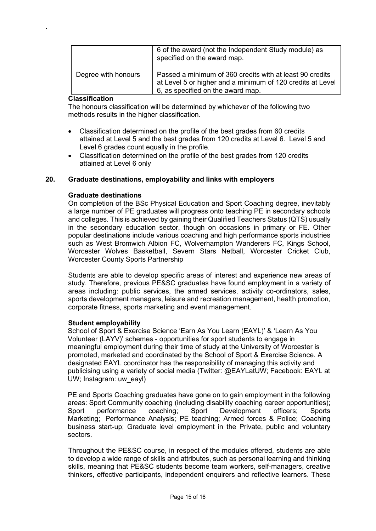|                     | 6 of the award (not the Independent Study module) as<br>specified on the award map.                                                                         |
|---------------------|-------------------------------------------------------------------------------------------------------------------------------------------------------------|
| Degree with honours | Passed a minimum of 360 credits with at least 90 credits<br>at Level 5 or higher and a minimum of 120 credits at Level<br>6, as specified on the award map. |

### **Classification**

.

The honours classification will be determined by whichever of the following two methods results in the higher classification.

- Classification determined on the profile of the best grades from 60 credits attained at Level 5 and the best grades from 120 credits at Level 6. Level 5 and Level 6 grades count equally in the profile.
- Classification determined on the profile of the best grades from 120 credits attained at Level 6 only

# **20. Graduate destinations, employability and links with employers**

### **Graduate destinations**

On completion of the BSc Physical Education and Sport Coaching degree, inevitably a large number of PE graduates will progress onto teaching PE in secondary schools and colleges. This is achieved by gaining their Qualified Teachers Status (QTS) usually in the secondary education sector, though on occasions in primary or FE. Other popular destinations include various coaching and high performance sports industries such as West Bromwich Albion FC, Wolverhampton Wanderers FC, Kings School, Worcester Wolves Basketball, Severn Stars Netball, Worcester Cricket Club, Worcester County Sports Partnership

Students are able to develop specific areas of interest and experience new areas of study. Therefore, previous PE&SC graduates have found employment in a variety of areas including: public services, the armed services, activity co-ordinators, sales, sports development managers, leisure and recreation management, health promotion, corporate fitness, sports marketing and event management.

### **Student employability**

School of Sport & Exercise Science 'Earn As You Learn (EAYL)' & 'Learn As You Volunteer (LAYV)' schemes - opportunities for sport students to engage in meaningful employment during their time of study at the University of Worcester is promoted, marketed and coordinated by the School of Sport & Exercise Science. A designated EAYL coordinator has the responsibility of managing this activity and publicising using a variety of social media (Twitter: @EAYLatUW; Facebook: EAYL at UW; Instagram: uw\_eayl)

PE and Sports Coaching graduates have gone on to gain employment in the following areas: Sport Community coaching (including disability coaching career opportunities); Sport performance coaching; Sport Development officers; Sports Marketing; Performance Analysis; PE teaching; Armed forces & Police; Coaching business start-up; Graduate level employment in the Private, public and voluntary sectors.

Throughout the PE&SC course, in respect of the modules offered, students are able to develop a wide range of skills and attributes, such as personal learning and thinking skills, meaning that PE&SC students become team workers, self-managers, creative thinkers, effective participants, independent enquirers and reflective learners. These